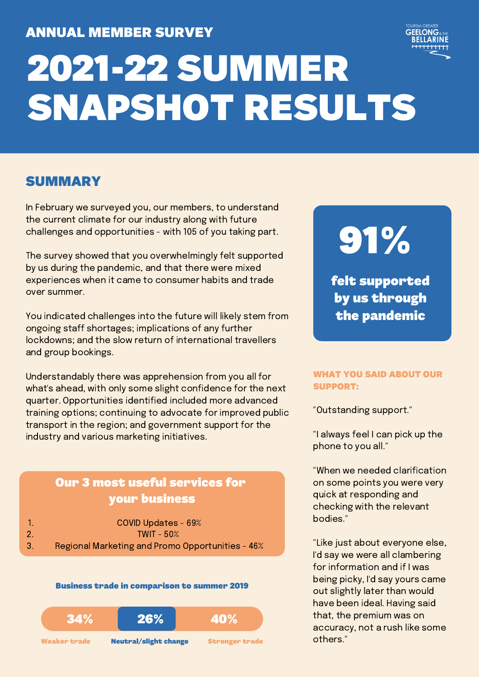# ANNUAL MEMBER SURVEY



# 2021-22 SUMMER SNAPSHOT RESULTS

# SUMMARY

In February we surveyed you, our members, to understand the current climate for our industry along with future challenges and opportunities - with 105 of you taking part.

The survey showed that you overwhelmingly felt supported by us during the pandemic, and that there were mixed experiences when it came to consumer habits and trade over summer.

You indicated challenges into the future will likely stem from ongoing staff shortages; implications of any further lockdowns; and the slow return of international travellers and group bookings.

Understandably there was apprehension from you all for what's ahead, with only some slight confidence for the next quarter. Opportunities identified included more advanced training options; continuing to advocate for improved public transport in the region; and government support for the industry and various marketing initiatives.

## Our 3 most useful services for your business

| COVID Updates - 69% |
|---------------------|
| TWIT - 50%          |

3.

Regional Marketing and Promo Opportunities - 46%

#### Business trade in comparison to summer 2019



91%

felt supported by us through the pandemic

#### WHAT YOU SAID ABOUT OUR SUPPORT:

"Outstanding support."

"I always feel I can pick up the phone to you all."

"When we needed clarification on some points you were very quick at responding and checking with the relevant bodies."

"Like just about everyone else, I'd say we were all clambering for information and if I was being picky, I'd say yours came out slightly later than would have been ideal. Having said that, the premium was on accuracy, not a rush like some others."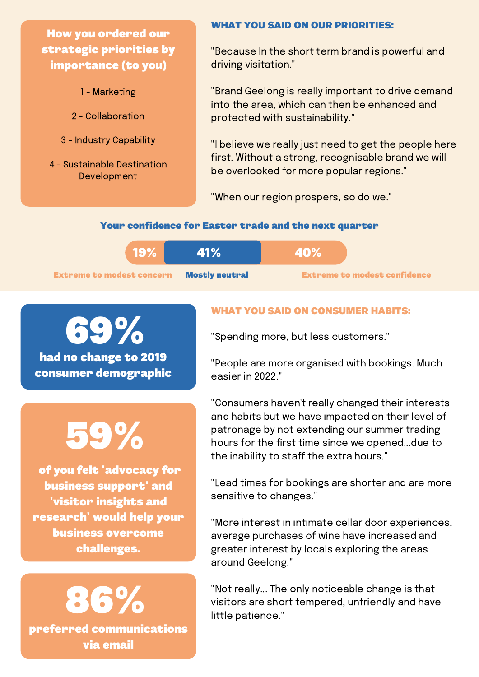How you ordered our strategic priorities by importance (to you)

- 1 Marketing
- 2 Collaboration
- 3 Industry Capability
- 4 Sustainable Destination Development

#### WHAT YOU SAID ON OUR PRIORITIES:

"Because In the short term brand is powerful and driving visitation."

"Brand Geelong is really important to drive demand into the area, which can then be enhanced and protected with sustainability."

"I believe we really just need to get the people here first. Without a strong, recognisable brand we will be overlooked for more popular regions."

"When our region prospers, so do we."

#### Your confidence for Easter trade and the next quarter

| 19%                              | 41%                   | <b>40%</b>                          |
|----------------------------------|-----------------------|-------------------------------------|
| <b>Extreme to modest concern</b> | <b>Mostly neutral</b> | <b>Extreme to modest confidence</b> |

had no change to 2019 69%

consumer demographic

# 59%

of you felt 'advocacy for business support' and 'visitor insights and research' would help your business overcome challenges.



### WHAT YOU SAID ON CONSUMER HABITS:

"Spending more, but less customers."

"People are more organised with bookings. Much easier in 2022."

"Consumers haven't really changed their interests and habits but we have impacted on their level of patronage by not extending our summer trading hours for the first time since we opened...due to the inability to staff the extra hours."

"Lead times for bookings are shorter and are more sensitive to changes."

"More interest in intimate cellar door experiences, average purchases of wine have increased and greater interest by locals exploring the areas around Geelong."

"Not really... The only noticeable change is that visitors are short tempered, unfriendly and have little patience."